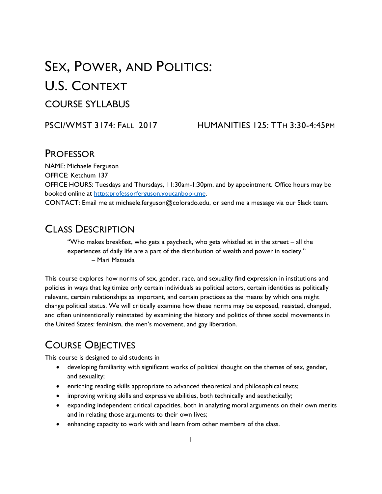# SEX, POWER, AND POLITICS: U.S. CONTEXT COURSE SYLLABUS

#### PSCI/WMST 3174: FALL 2017 HUMANITIES 125: TTH 3:30-4:45PM

### **PROFESSOR**

NAME: Michaele Ferguson OFFICE: Ketchum 137 OFFICE HOURS: Tuesdays and Thursdays, 11:30am-1:30pm, and by appointment. Office hours may be booked online at [https:professorferguson.youcanbook.me.](https://professorferguson.youcanbook.me/) CONTACT: Email me at michaele.ferguson@colorado.edu, or send me a message via our Slack team.

### CLASS DESCRIPTION

"Who makes breakfast, who gets a paycheck, who gets whistled at in the street – all the experiences of daily life are a part of the distribution of wealth and power in society." – Mari Matsuda

This course explores how norms of sex, gender, race, and sexuality find expression in institutions and policies in ways that legitimize only certain individuals as political actors, certain identities as politically relevant, certain relationships as important, and certain practices as the means by which one might change political status. We will critically examine how these norms may be exposed, resisted, changed, and often unintentionally reinstated by examining the history and politics of three social movements in the United States: feminism, the men's movement, and gay liberation.

### COURSE OBJECTIVES

This course is designed to aid students in

- developing familiarity with significant works of political thought on the themes of sex, gender, and sexuality;
- enriching reading skills appropriate to advanced theoretical and philosophical texts;
- improving writing skills and expressive abilities, both technically and aesthetically;
- expanding independent critical capacities, both in analyzing moral arguments on their own merits and in relating those arguments to their own lives;
- enhancing capacity to work with and learn from other members of the class.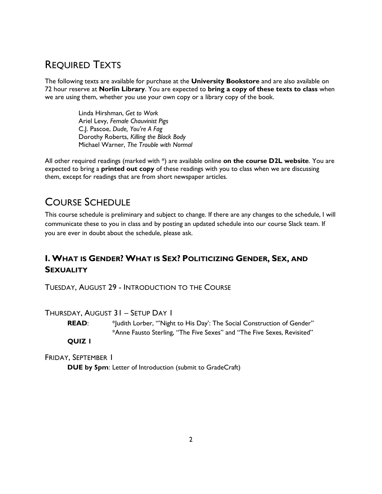### REQUIRED TEXTS

The following texts are available for purchase at the **University Bookstore** and are also available on 72 hour reserve at **Norlin Library**. You are expected to **bring a copy of these texts to class** when we are using them, whether you use your own copy or a library copy of the book.

> Linda Hirshman, *Get to Work* Ariel Levy, *Female Chauvinist Pigs* C.J. Pascoe, *Dude, You're A Fag* Dorothy Roberts, *Killing the Black Body* Michael Warner, *The Trouble with Normal*

All other required readings (marked with \*) are available online **on the course D2L website**. You are expected to bring a **printed out copy** of these readings with you to class when we are discussing them, except for readings that are from short newspaper articles.

### COURSE SCHEDULE

This course schedule is preliminary and subject to change. If there are any changes to the schedule, I will communicate these to you in class and by posting an updated schedule into our course Slack team. If you are ever in doubt about the schedule, please ask.

### **I. WHAT IS GENDER? WHAT IS SEX? POLITICIZING GENDER, SEX, AND SEXUALITY**

TUESDAY, AUGUST 29 - INTRODUCTION TO THE COURSE

THURSDAY, AUGUST 31 – SETUP DAY 1

**READ:** \*Judith Lorber, "'Night to His Day': The Social Construction of Gender" \*Anne Fausto Sterling, "The Five Sexes" and "The Five Sexes, Revisited"

**QUIZ 1**

FRIDAY, SEPTEMBER 1

**DUE by 5pm**: Letter of Introduction (submit to GradeCraft)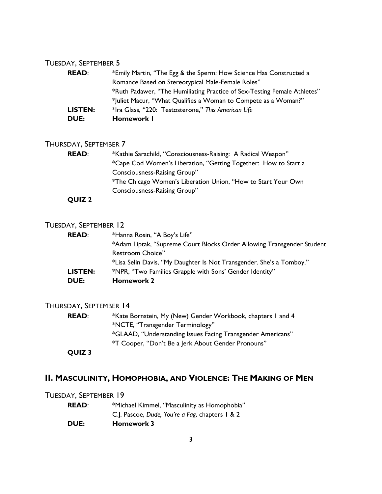#### TUESDAY, SEPTEMBER 5

| <b>READ:</b> | *Emily Martin, "The Egg & the Sperm: How Science Has Constructed a       |
|--------------|--------------------------------------------------------------------------|
|              | Romance Based on Stereotypical Male-Female Roles"                        |
|              | *Ruth Padawer, "The Humiliating Practice of Sex-Testing Female Athletes" |
|              | *Juliet Macur, "What Qualifies a Woman to Compete as a Woman?"           |
| LISTEN:      | *Ira Glass, "220: Testosterone," This American Life                      |
| DUE:         | Homework I                                                               |

#### THURSDAY, SEPTEMBER 7

| <b>READ:</b>  | *Kathie Sarachild, "Consciousness-Raising: A Radical Weapon"    |
|---------------|-----------------------------------------------------------------|
|               | *Cape Cod Women's Liberation, "Getting Together: How to Start a |
|               | Consciousness-Raising Group"                                    |
|               | *The Chicago Women's Liberation Union, "How to Start Your Own   |
|               | Consciousness-Raising Group"                                    |
| <b>OUIZ 2</b> |                                                                 |

#### TUESDAY, SEPTEMBER 12

| <b>READ:</b> | *Hanna Rosin, "A Boy's Life"                                           |
|--------------|------------------------------------------------------------------------|
|              | *Adam Liptak, "Supreme Court Blocks Order Allowing Transgender Student |
|              | Restroom Choice"                                                       |
|              | *Lisa Selin Davis, "My Daughter Is Not Transgender. She's a Tomboy."   |
| LISTEN:      | *NPR, "Two Families Grapple with Sons' Gender Identity"                |
| <b>DUE:</b>  | <b>Homework 2</b>                                                      |

#### THURSDAY, SEPTEMBER 14

**READ:** \*Kate Bornstein, My (New) Gender Workbook, chapters 1 and 4 \*NCTE, "Transgender Terminology" \*GLAAD, "Understanding Issues Facing Transgender Americans" \*T Cooper, "Don't Be a Jerk About Gender Pronouns" **QUIZ 3**

#### **II. MASCULINITY, HOMOPHOBIA, AND VIOLENCE: THE MAKING OF MEN**

#### TUESDAY, SEPTEMBER 19

| <b>READ:</b> | *Michael Kimmel, "Masculinity as Homophobia"    |
|--------------|-------------------------------------------------|
|              | C.J. Pascoe, Dude, You're a Fag, chapters 1 & 2 |
| <b>DUE:</b>  | <b>Homework 3</b>                               |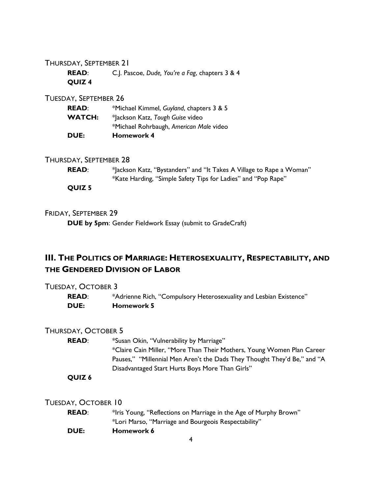#### THURSDAY, SEPTEMBER 21

**READ**: C.J. Pascoe, *Dude, You're a Fag*, chapters 3 & 4 **QUIZ 4**

#### TUESDAY, SEPTEMBER 26

| <b>DUE:</b>   | <b>Homework 4</b>                        |
|---------------|------------------------------------------|
|               | *Michael Rohrbaugh, American Male video  |
| <b>WATCH:</b> | *Jackson Katz, Tough Guise video         |
| <b>READ:</b>  | *Michael Kimmel, Guyland, chapters 3 & 5 |

#### THURSDAY, SEPTEMBER 28

| <b>READ:</b>  | * ackson Katz, "Bystanders" and "It Takes A Village to Rape a Woman" |
|---------------|----------------------------------------------------------------------|
|               | *Kate Harding, "Simple Safety Tips for Ladies" and "Pop Rape"        |
| <b>OUIZ 5</b> |                                                                      |

#### FRIDAY, SEPTEMBER 29

**DUE by 5pm**: Gender Fieldwork Essay (submit to GradeCraft)

### **III. THE POLITICS OF MARRIAGE: HETEROSEXUALITY, RESPECTABILITY, AND THE GENDERED DIVISION OF LABOR**

#### TUESDAY, OCTOBER 3

**READ:** \*Adrienne Rich, "Compulsory Heterosexuality and Lesbian Existence" **DUE: Homework 5**

#### THURSDAY, OCTOBER 5

| <b>READ:</b> | *Susan Okin, "Vulnerability by Marriage"                                 |
|--------------|--------------------------------------------------------------------------|
|              | *Claire Cain Miller, "More Than Their Mothers, Young Women Plan Career   |
|              | Pauses," "Millennial Men Aren't the Dads They Thought They'd Be," and "A |
|              | Disadvantaged Start Hurts Boys More Than Girls"                          |
| ----         |                                                                          |

#### **QUIZ 6**

TUESDAY, OCTOBER 10

| <b>READ:</b> | *Iris Young, "Reflections on Marriage in the Age of Murphy Brown" |
|--------------|-------------------------------------------------------------------|
|              | *Lori Marso, "Marriage and Bourgeois Respectability"              |
| <b>DUE:</b>  | Homework 6                                                        |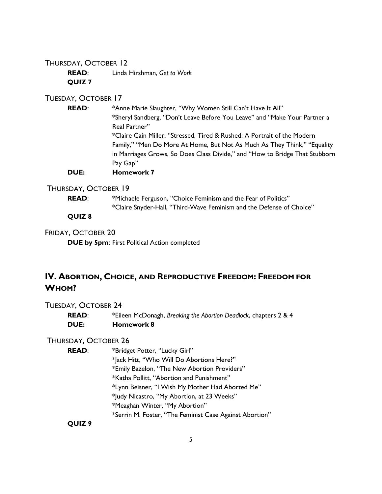#### THURSDAY, OCTOBER 12

**READ**: Linda Hirshman, *Get to Work* **QUIZ 7**

#### TUESDAY, OCTOBER 17

**READ:** \*Anne Marie Slaughter, "Why Women Still Can't Have It All" \*Sheryl Sandberg, "Don't Leave Before You Leave" and "Make Your Partner a Real Partner" \*Claire Cain Miller, "Stressed, Tired & Rushed: A Portrait of the Modern Family," "Men Do More At Home, But Not As Much As They Think," "Equality in Marriages Grows, So Does Class Divide," and "How to Bridge That Stubborn Pay Gap" **DUE: Homework 7**

#### THURSDAY, OCTOBER 19

**READ:** \*Michaele Ferguson, "Choice Feminism and the Fear of Politics" \*Claire Snyder-Hall, "Third-Wave Feminism and the Defense of Choice"

**QUIZ 8**

FRIDAY, OCTOBER 20

**DUE by 5pm**: First Political Action completed

### **IV. ABORTION, CHOICE, AND REPRODUCTIVE FREEDOM: FREEDOM FOR WHOM?**

#### TUESDAY, OCTOBER 24

**READ**: \*Eileen McDonagh, *Breaking the Abortion Deadlock*, chapters 2 & 4 **DUE: Homework 8**

#### THURSDAY, OCTOBER 26

**READ:** \*Bridget Potter, "Lucky Girl" \*Jack Hitt, "Who Will Do Abortions Here?" \*Emily Bazelon, "The New Abortion Providers" \*Katha Pollitt, "Abortion and Punishment" \*Lynn Beisner, "I Wish My Mother Had Aborted Me" \*Judy Nicastro, "My Abortion, at 23 Weeks" \*Meaghan Winter, "My Abortion" \*Serrin M. Foster, "The Feminist Case Against Abortion"

**QUIZ 9**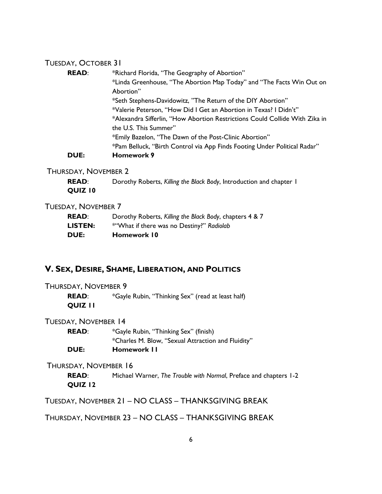#### TUESDAY, OCTOBER 31

| <b>READ:</b> | *Richard Florida, "The Geography of Abortion"                               |
|--------------|-----------------------------------------------------------------------------|
|              | *Linda Greenhouse, "The Abortion Map Today" and "The Facts Win Out on       |
|              | Abortion"                                                                   |
|              | *Seth Stephens-Davidowitz, "The Return of the DIY Abortion"                 |
|              | *Valerie Peterson, "How Did I Get an Abortion in Texas? I Didn't"           |
|              | *Alexandra Sifferlin, "How Abortion Restrictions Could Collide With Zika in |
|              | the U.S. This Summer"                                                       |
|              | *Emily Bazelon, "The Dawn of the Post-Clinic Abortion"                      |
|              | *Pam Belluck, "Birth Control via App Finds Footing Under Political Radar"   |
| <b>DUE:</b>  | <b>Homework 9</b>                                                           |

#### THURSDAY, NOVEMBER 2

**READ**: Dorothy Roberts, *Killing the Black Body*, Introduction and chapter 1 **QUIZ 10**

#### TUESDAY, NOVEMBER 7

| <b>DUE:</b>    | Homework 10                                             |
|----------------|---------------------------------------------------------|
| <b>LISTEN:</b> | *"What if there was no Destiny?" Radiolab               |
| <b>READ:</b>   | Dorothy Roberts, Killing the Black Body, chapters 4 & 7 |

#### **V. SEX, DESIRE, SHAME, LIBERATION, AND POLITICS**

#### THURSDAY, NOVEMBER 9

**READ:** \*Gayle Rubin, "Thinking Sex" (read at least half) **QUIZ 11**

#### TUESDAY, NOVEMBER 14

**READ**: \*Gayle Rubin, "Thinking Sex" (finish) \*Charles M. Blow, "Sexual Attraction and Fluidity" **DUE: Homework 11**

#### THURSDAY, NOVEMBER 16

**READ**: Michael Warner, *The Trouble with Normal*, Preface and chapters 1-2 **QUIZ 12**

TUESDAY, NOVEMBER 21 – NO CLASS – THANKSGIVING BREAK

THURSDAY, NOVEMBER 23 – NO CLASS – THANKSGIVING BREAK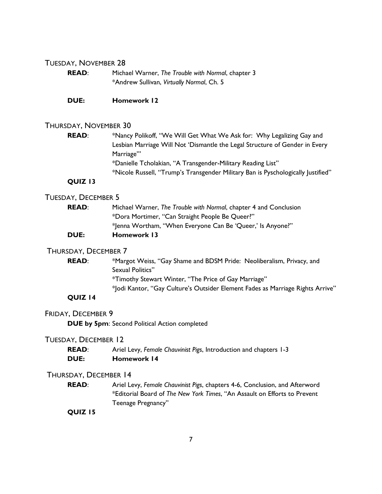#### TUESDAY, NOVEMBER 28

| <b>READ:</b> | Michael Warner, The Trouble with Normal, chapter 3 |
|--------------|----------------------------------------------------|
|              | *Andrew Sullivan, Virtually Normal, Ch. 5          |

**DUE: Homework 12**

#### THURSDAY, NOVEMBER 30

| <b>READ:</b> | *Nancy Polikoff, "We Will Get What We Ask for: Why Legalizing Gay and            |
|--------------|----------------------------------------------------------------------------------|
|              | Lesbian Marriage Will Not 'Dismantle the Legal Structure of Gender in Every      |
|              | Marriage"                                                                        |
|              | *Danielle Tcholakian, "A Transgender-Military Reading List"                      |
|              | *Nicole Russell, "Trump's Transgender Military Ban is Pyschologically Justified" |

#### **QUIZ 13**

#### TUESDAY, DECEMBER 5

| <b>READ:</b> | Michael Warner, The Trouble with Normal, chapter 4 and Conclusion |
|--------------|-------------------------------------------------------------------|
|              | *Dora Mortimer, "Can Straight People Be Queer?"                   |
|              | *Jenna Wortham, "When Everyone Can Be 'Queer,' Is Anyone?"        |
| <b>DUE:</b>  | <b>Homework 13</b>                                                |

#### THURSDAY, DECEMBER 7

| <b>READ:</b>   | *Margot Weiss, "Gay Shame and BDSM Pride: Neoliberalism, Privacy, and          |
|----------------|--------------------------------------------------------------------------------|
|                | Sexual Politics"                                                               |
|                | *Timothy Stewart Winter, "The Price of Gay Marriage"                           |
|                | * odi Kantor, "Gay Culture's Outsider Element Fades as Marriage Rights Arrive" |
| <b>OUIZ 14</b> |                                                                                |

#### FRIDAY, DECEMBER 9

**DUE by 5pm**: Second Political Action completed

#### TUESDAY, DECEMBER 12

| <b>READ:</b> | Ariel Levy, Female Chauvinist Pigs, Introduction and chapters 1-3 |
|--------------|-------------------------------------------------------------------|
| <b>DUE:</b>  | Homework 14                                                       |

#### THURSDAY, DECEMBER 14

**READ**: Ariel Levy, *Female Chauvinist Pigs*, chapters 4-6, Conclusion, and Afterword \*Editorial Board of *The New York Times*, "An Assault on Efforts to Prevent Teenage Pregnancy"

#### **QUIZ 15**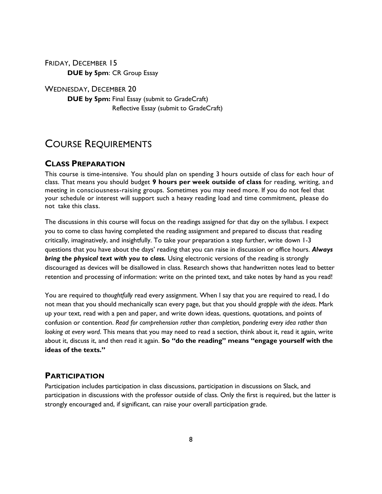FRIDAY, DECEMBER 15 **DUE by 5pm**: CR Group Essay

WEDNESDAY, DECEMBER 20 **DUE by 5pm:** Final Essay (submit to GradeCraft) Reflective Essay (submit to GradeCraft)

### COURSE REQUIREMENTS

#### **CLASS PREPARATION**

This course is time-intensive. You should plan on spending 3 hours outside of class for each hour of class. That means you should budget **9 hours per week outside of class** for reading, writing, and meeting in consciousness-raising groups. Sometimes you may need more. If you do not feel that your schedule or interest will support such a heavy reading load and time commitment, please do not take this class.

The discussions in this course will focus on the readings assigned for that day on the syllabus. I expect you to come to class having completed the reading assignment and prepared to discuss that reading critically, imaginatively, and insightfully. To take your preparation a step further, write down 1-3 questions that you have about the days' reading that you can raise in discussion or office hours. *Always bring the physical text with you to class.* Using electronic versions of the reading is strongly discouraged as devices will be disallowed in class. Research shows that handwritten notes lead to better retention and processing of information: write on the printed text, and take notes by hand as you read!

You are required to *thoughtfully* read every assignment. When I say that you are required to read, I do not mean that you should mechanically scan every page, but that you should *grapple with the ideas*. Mark up your text, read with a pen and paper, and write down ideas, questions, quotations, and points of confusion or contention. *Read for comprehension rather than completion, pondering every idea rather than looking at every word*. This means that you may need to read a section, think about it, read it again, write about it, discuss it, and then read it again. **So "do the reading" means "engage yourself with the ideas of the texts."**

#### **PARTICIPATION**

Participation includes participation in class discussions, participation in discussions on Slack, and participation in discussions with the professor outside of class. Only the first is required, but the latter is strongly encouraged and, if significant, can raise your overall participation grade.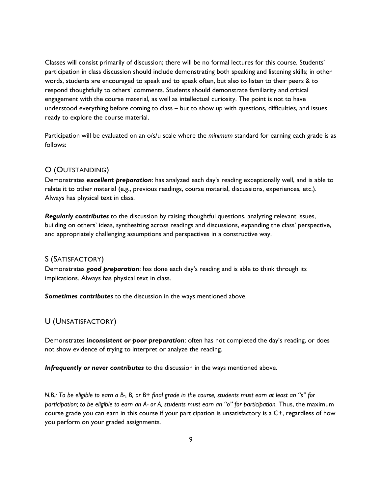Classes will consist primarily of discussion; there will be no formal lectures for this course. Students' participation in class discussion should include demonstrating both speaking and listening skills; in other words, students are encouraged to speak and to speak often, but also to listen to their peers & to respond thoughtfully to others' comments. Students should demonstrate familiarity and critical engagement with the course material, as well as intellectual curiosity. The point is not to have understood everything before coming to class – but to show up with questions, difficulties, and issues ready to explore the course material.

Participation will be evaluated on an o/s/u scale where the *minimum* standard for earning each grade is as follows:

#### O (OUTSTANDING)

Demonstrates *excellent preparation*: has analyzed each day's reading exceptionally well, and is able to relate it to other material (e.g., previous readings, course material, discussions, experiences, etc.). Always has physical text in class.

*Regularly contributes* to the discussion by raising thoughtful questions, analyzing relevant issues, building on others' ideas, synthesizing across readings and discussions, expanding the class' perspective, and appropriately challenging assumptions and perspectives in a constructive way.

#### S (SATISFACTORY)

Demonstrates *good preparation*: has done each day's reading and is able to think through its implications. Always has physical text in class.

*Sometimes contributes* to the discussion in the ways mentioned above.

#### U (UNSATISFACTORY)

Demonstrates *inconsistent or poor preparation*: often has not completed the day's reading, or does not show evidence of trying to interpret or analyze the reading.

*Infrequently or never contributes* to the discussion in the ways mentioned above.

*N.B.: To be eligible to earn a B-, B, or B+ final grade in the course, students must earn at least an "s" for participation; to be eligible to earn an A- or A, students must earn an "o" for participation.* Thus, the maximum course grade you can earn in this course if your participation is unsatisfactory is a C+, regardless of how you perform on your graded assignments.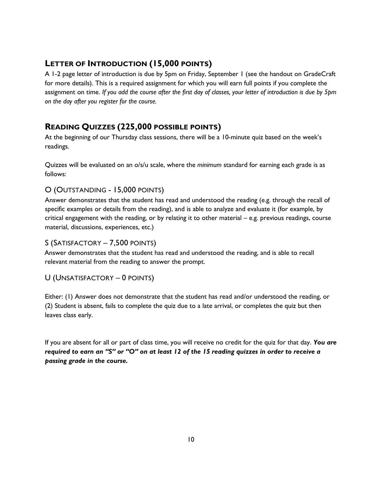#### **LETTER OF INTRODUCTION (15,000 POINTS)**

A 1-2 page letter of introduction is due by 5pm on Friday, September 1 (see the handout on GradeCraft for more details). This is a required assignment for which you will earn full points if you complete the assignment on time. *If you add the course after the first day of classes, your letter of introduction is due by 5pm on the day after you register for the course.*

### **READING QUIZZES (225,000 POSSIBLE POINTS)**

At the beginning of our Thursday class sessions, there will be a 10-minute quiz based on the week's readings.

Quizzes will be evaluated on an o/s/u scale, where the *minimum* standard for earning each grade is as follows:

#### O (OUTSTANDING - 15,000 POINTS)

Answer demonstrates that the student has read and understood the reading (e.g. through the recall of specific examples or details from the reading), and is able to analyze and evaluate it (for example, by critical engagement with the reading, or by relating it to other material – e.g. previous readings, course material, discussions, experiences, etc.)

#### S (SATISFACTORY – 7,500 POINTS)

Answer demonstrates that the student has read and understood the reading, and is able to recall relevant material from the reading to answer the prompt.

#### U (UNSATISFACTORY – 0 POINTS)

Either: (1) Answer does not demonstrate that the student has read and/or understood the reading, or (2) Student is absent, fails to complete the quiz due to a late arrival, or completes the quiz but then leaves class early.

If you are absent for all or part of class time, you will receive no credit for the quiz for that day. *You are required to earn an "S" or "O" on at least 12 of the 15 reading quizzes in order to receive a passing grade in the course.*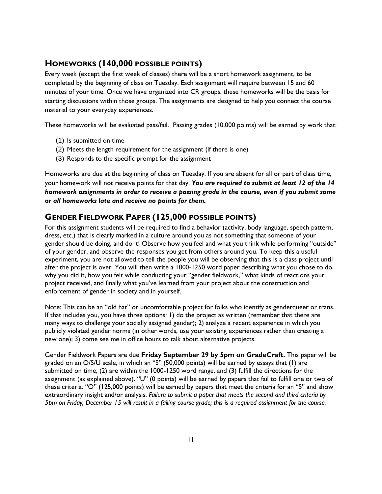#### **HOMEWORKS (140,000 POSSIBLE POINTS)**

Every week (except the first week of classes) there will be a short homework assignment, to be completed by the beginning of class on Tuesday. Each assignment will require between 15 and 60 minutes of your time. Once we have organized into CR groups, these homeworks will be the basis for starting discussions within those groups. The assignments are designed to help you connect the course material to your everyday experiences.

These homeworks will be evaluated pass/fail. Passing grades (10,000 points) will be earned by work that:

- (1) Is submitted on time
- (2) Meets the length requirement for the assignment (if there is one)
- (3) Responds to the specific prompt for the assignment

Homeworks are due at the beginning of class on Tuesday. If you are absent for all or part of class time, your homework will not receive points for that day. *You are required to submit at least 12 of the 14 homework assignments in order to receive a passing grade in the course, even if you submit some or all homeworks late and receive no points for them.*

#### **GENDER FIELDWORK PAPER (125,000 POSSIBLE POINTS)**

For this assignment students will be required to find a behavior (activity, body language, speech pattern, dress, etc.) that is clearly marked in a culture around you as not something that someone of your gender should be doing, and do it! Observe how you feel and what you think while performing "outside" of your gender, and observe the responses you get from others around you. To keep this a useful experiment, you are not allowed to tell the people you will be observing that this is a class project until after the project is over. You will then write a 1000-1250 word paper describing what you chose to do, why you did it, how you felt while conducting your "gender fieldwork," what kinds of reactions your project received, and finally what you've learned from your project about the construction and enforcement of gender in society and in yourself.

Note: This can be an "old hat" or uncomfortable project for folks who identify as genderqueer or trans. If that includes you, you have three options: 1) do the project as written (remember that there are many ways to challenge your socially assigned gender); 2) analyze a recent experience in which you publicly violated gender norms (in other words, use your existing experiences rather than creating a new one); 3) come see me in office hours to talk about alternative projects.

Gender Fieldwork Papers are due **Friday September 29 by 5pm on GradeCraft.** This paper will be graded on an O/S/U scale, in which an "S" (50,000 points) will be earned by essays that (1) are submitted on time, (2) are within the 1000-1250 word range, and (3) fulfill the directions for the assignment (as explained above). "U" (0 points) will be earned by papers that fail to fulfill one or two of these criteria. "O" (125,000 points) will be earned by papers that meet the criteria for an "S" and show extraordinary insight and/or analysis. *Failure to submit a paper that meets the second and third criteria by 5pm on Friday, December 15 will result in a failing course grade; this is a required assignment for the course.*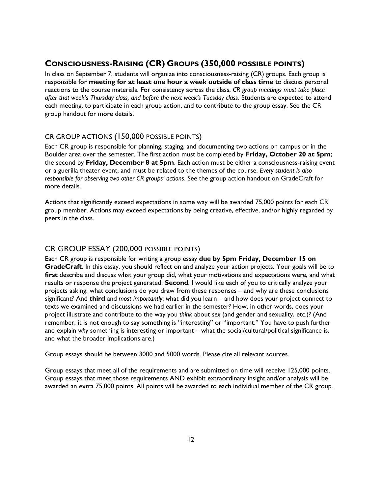#### **CONSCIOUSNESS-RAISING (CR) GROUPS (350,000 POSSIBLE POINTS)**

In class on September 7, students will organize into consciousness-raising (CR) groups. Each group is responsible for **meeting for at least one hour a week outside of class time** to discuss personal reactions to the course materials. For consistency across the class, *CR group meetings must take place after that week's Thursday class, and before the next week's Tuesday class*. Students are expected to attend each meeting, to participate in each group action, and to contribute to the group essay. See the CR group handout for more details.

#### CR GROUP ACTIONS (150,000 POSSIBLE POINTS)

Each CR group is responsible for planning, staging, and documenting two actions on campus or in the Boulder area over the semester. The first action must be completed by **Friday, October 20 at 5pm**; the second by **Friday, December 8 at 5pm**. Each action must be either a consciousness-raising event or a guerilla theater event, and must be related to the themes of the course. *Every student is also responsible for observing two other CR groups' actions*. See the group action handout on GradeCraft for more details.

Actions that significantly exceed expectations in some way will be awarded 75,000 points for each CR group member. Actions may exceed expectations by being creative, effective, and/or highly regarded by peers in the class.

#### CR GROUP ESSAY (200,000 POSSIBLE POINTS)

Each CR group is responsible for writing a group essay **due by 5pm Friday, December 15 on GradeCraft**. In this essay, you should reflect on and analyze your action projects. Your goals will be to first describe and discuss what your group did, what your motivations and expectations were, and what results or response the project generated. **Second**, I would like each of you to critically analyze your projects asking: what conclusions do you draw from these responses – and why are these conclusions significant? And **third** and *most importantly*: *w*hat did you learn – and how does your project connect to texts we examined and discussions we had earlier in the semester? How, in other words, does your project illustrate and contribute to the way you *think* about *sex* (and gender and sexuality, etc.)? (And remember, it is not enough to say something is "interesting" or "important." You have to push further and explain *why* something is interesting or important – what the social/cultural/political significance is, and what the broader implications are.)

Group essays should be between 3000 and 5000 words. Please cite all relevant sources.

Group essays that meet all of the requirements and are submitted on time will receive 125,000 points. Group essays that meet those requirements AND exhibit extraordinary insight and/or analysis will be awarded an extra 75,000 points. All points will be awarded to each individual member of the CR group.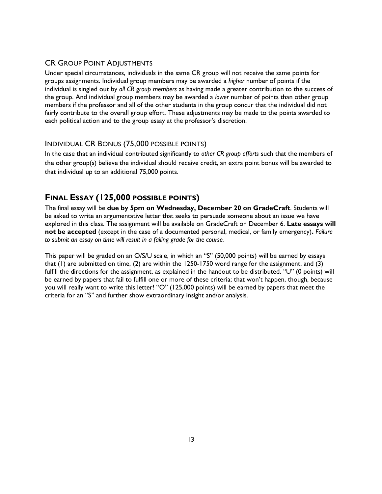#### CR GROUP POINT ADJUSTMENTS

Under special circumstances, individuals in the same CR group will not receive the same points for groups assignments. Individual group members may be awarded a *higher* number of points if the individual is singled out by *all CR group members* as having made a greater contribution to the success of the group. And individual group members may be awarded a *lower* number of points than other group members if the professor and all of the other students in the group concur that the individual did not fairly contribute to the overall group effort. These adjustments may be made to the points awarded to each political action and to the group essay at the professor's discretion.

#### INDIVIDUAL CR BONUS (75,000 POSSIBLE POINTS)

In the case that an individual contributed significantly to *other CR group efforts* such that the members of the other group(s) believe the individual should receive credit, an extra point bonus will be awarded to that individual up to an additional 75,000 points.

#### **FINAL ESSAY (125,000 POSSIBLE POINTS)**

The final essay will be **due by 5pm on Wednesday, December 20 on GradeCraft**. Students will be asked to write an argumentative letter that seeks to persuade someone about an issue we have explored in this class. The assignment will be available on GradeCraft on December 6. **Late essays will not be accepted** (except in the case of a documented personal, medical, or family emergency)**.** *Failure to submit an essay on time will result in a failing grade for the course.*

This paper will be graded on an O/S/U scale, in which an "S" (50,000 points) will be earned by essays that (1) are submitted on time, (2) are within the 1250-1750 word range for the assignment, and (3) fulfill the directions for the assignment, as explained in the handout to be distributed. "U" (0 points) will be earned by papers that fail to fulfill one or more of these criteria; that won't happen, though, because you will really want to write this letter! "O" (125,000 points) will be earned by papers that meet the criteria for an "S" and further show extraordinary insight and/or analysis.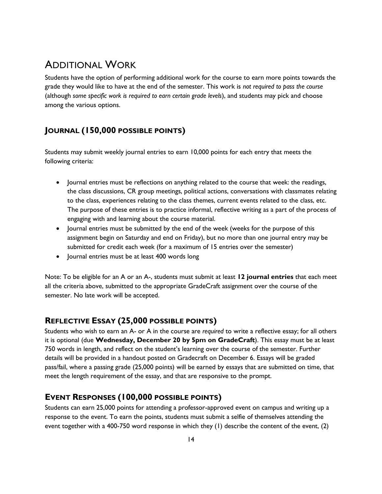### ADDITIONAL WORK

Students have the option of performing additional work for the course to earn more points towards the grade they would like to have at the end of the semester. This work is *not required to pass the course* (although *some specific work is required to earn certain grade levels*), and students may pick and choose among the various options.

### **JOURNAL (150,000 POSSIBLE POINTS)**

Students may submit weekly journal entries to earn 10,000 points for each entry that meets the following criteria:

- Journal entries must be reflections on anything related to the course that week: the readings, the class discussions, CR group meetings, political actions, conversations with classmates relating to the class, experiences relating to the class themes, current events related to the class, etc. The purpose of these entries is to practice informal, reflective writing as a part of the process of engaging with and learning about the course material.
- Journal entries must be submitted by the end of the week (weeks for the purpose of this assignment begin on Saturday and end on Friday), but no more than one journal entry may be submitted for credit each week (for a maximum of 15 entries over the semester)
- Journal entries must be at least 400 words long

Note: To be eligible for an A or an A-, students must submit at least **12 journal entries** that each meet all the criteria above, submitted to the appropriate GradeCraft assignment over the course of the semester. No late work will be accepted.

#### **REFLECTIVE ESSAY (25,000 POSSIBLE POINTS)**

Students who wish to earn an A- or A in the course are *required* to write a reflective essay; for all others it is optional (due **Wednesday, December 20 by 5pm on GradeCraft**). This essay must be at least 750 words in length, and reflect on the student's learning over the course of the semester. Further details will be provided in a handout posted on Gradecraft on December 6. Essays will be graded pass/fail, where a passing grade (25,000 points) will be earned by essays that are submitted on time, that meet the length requirement of the essay, and that are responsive to the prompt.

#### **EVENT RESPONSES (100,000 POSSIBLE POINTS)**

Students can earn 25,000 points for attending a professor-approved event on campus and writing up a response to the event. To earn the points, students must submit a selfie of themselves attending the event together with a 400-750 word response in which they (1) describe the content of the event, (2)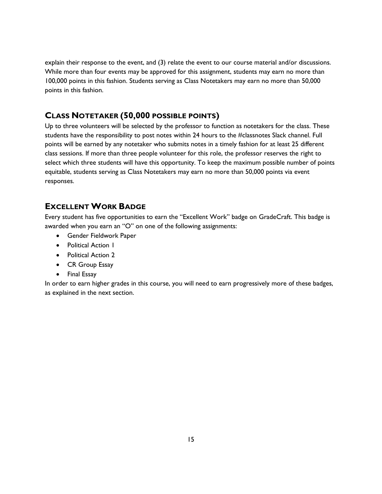explain their response to the event, and (3) relate the event to our course material and/or discussions. While more than four events may be approved for this assignment, students may earn no more than 100,000 points in this fashion. Students serving as Class Notetakers may earn no more than 50,000 points in this fashion.

### **CLASS NOTETAKER (50,000 POSSIBLE POINTS)**

Up to three volunteers will be selected by the professor to function as notetakers for the class. These students have the responsibility to post notes within 24 hours to the #classnotes Slack channel. Full points will be earned by any notetaker who submits notes in a timely fashion for at least 25 different class sessions. If more than three people volunteer for this role, the professor reserves the right to select which three students will have this opportunity. To keep the maximum possible number of points equitable, students serving as Class Notetakers may earn no more than 50,000 points via event responses.

#### **EXCELLENT WORK BADGE**

Every student has five opportunities to earn the "Excellent Work" badge on GradeCraft. This badge is awarded when you earn an "O" on one of the following assignments:

- **•** Gender Fieldwork Paper
- Political Action 1
- Political Action 2
- CR Group Essay
- Final Essay

In order to earn higher grades in this course, you will need to earn progressively more of these badges, as explained in the next section.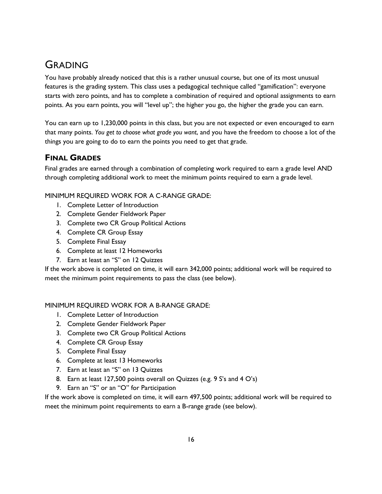## GRADING

You have probably already noticed that this is a rather unusual course, but one of its most unusual features is the grading system. This class uses a pedagogical technique called "gamification": everyone starts with zero points, and has to complete a combination of required and optional assignments to earn points. As you earn points, you will "level up"; the higher you go, the higher the grade you can earn.

You can earn up to 1,230,000 points in this class, but you are not expected or even encouraged to earn that many points. *You get to choose what grade you want*, and you have the freedom to choose a lot of the things you are going to do to earn the points you need to get that grade.

#### **FINAL GRADES**

Final grades are earned through a combination of completing work required to earn a grade level AND through completing additional work to meet the minimum points required to earn a grade level.

MINIMUM REQUIRED WORK FOR A C-RANGE GRADE:

- 1. Complete Letter of Introduction
- 2. Complete Gender Fieldwork Paper
- 3. Complete two CR Group Political Actions
- 4. Complete CR Group Essay
- 5. Complete Final Essay
- 6. Complete at least 12 Homeworks
- 7. Earn at least an "S" on 12 Quizzes

If the work above is completed on time, it will earn 342,000 points; additional work will be required to meet the minimum point requirements to pass the class (see below).

#### MINIMUM REQUIRED WORK FOR A B-RANGE GRADE:

- 1. Complete Letter of Introduction
- 2. Complete Gender Fieldwork Paper
- 3. Complete two CR Group Political Actions
- 4. Complete CR Group Essay
- 5. Complete Final Essay
- 6. Complete at least 13 Homeworks
- 7. Earn at least an "S" on 13 Quizzes
- 8. Earn at least 127,500 points overall on Quizzes (e.g. 9 S's and 4 O's)
- 9. Earn an "S" or an "O" for Participation

If the work above is completed on time, it will earn 497,500 points; additional work will be required to meet the minimum point requirements to earn a B-range grade (see below).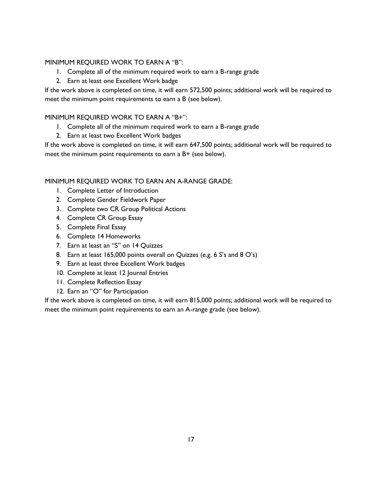#### MINIMUM REQUIRED WORK TO EARN A "B":

- 1. Complete all of the minimum required work to earn a B-range grade
- 2. Earn at least one Excellent Work badge

If the work above is completed on time, it will earn 572,500 points; additional work will be required to meet the minimum point requirements to earn a B (see below).

#### MINIMUM REQUIRED WORK TO EARN A "B+":

- 1. Complete all of the minimum required work to earn a B-range grade
- 2. Earn at least two Excellent Work badges

If the work above is completed on time, it will earn 647,500 points; additional work will be required to meet the minimum point requirements to earn a B+ (see below).

#### MINIMUM REQUIRED WORK TO EARN AN A-RANGE GRADE:

- 1. Complete Letter of Introduction
- 2. Complete Gender Fieldwork Paper
- 3. Complete two CR Group Political Actions
- 4. Complete CR Group Essay
- 5. Complete Final Essay
- 6. Complete 14 Homeworks
- 7. Earn at least an "S" on 14 Quizzes
- 8. Earn at least 165,000 points overall on Quizzes (e.g. 6 S's and 8 O's)
- 9. Earn at least three Excellent Work badges
- 10. Complete at least 12 Journal Entries
- 11. Complete Reflection Essay
- 12. Earn an "O" for Participation

If the work above is completed on time, it will earn 815,000 points; additional work will be required to meet the minimum point requirements to earn an A-range grade (see below).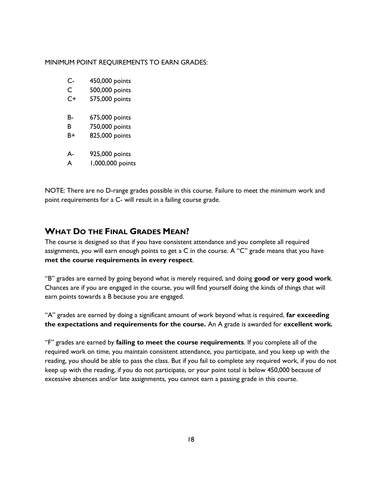#### MINIMUM POINT REQUIREMENTS TO EARN GRADES:

- C- 450,000 points
- C 500,000 points
- C+ 575,000 points
- B- 675,000 points
- B 750,000 points
- B+ 825,000 points
- A- 925,000 points
- A 1,000,000 points

NOTE: There are no D-range grades possible in this course. Failure to meet the minimum work and point requirements for a C- will result in a failing course grade.

#### **WHAT DO THE FINAL GRADES MEAN?**

The course is designed so that if you have consistent attendance and you complete all required assignments, you will earn enough points to get a C in the course. A "C" grade means that you have **met the course requirements in every respect**.

"B" grades are earned by going beyond what is merely required, and doing **good or very good work**. Chances are if you are engaged in the course, you will find yourself doing the kinds of things that will earn points towards a B because you are engaged.

"A" grades are earned by doing a significant amount of work beyond what is required, **far exceeding the expectations and requirements for the course.** An A grade is awarded for **excellent work***.*

"F" grades are earned by **failing to meet the course requirements**. If you complete all of the required work on time, you maintain consistent attendance, you participate, and you keep up with the reading, you should be able to pass the class. But if you fail to complete any required work, if you do not keep up with the reading, if you do not participate, or your point total is below 450,000 because of excessive absences and/or late assignments, you cannot earn a passing grade in this course.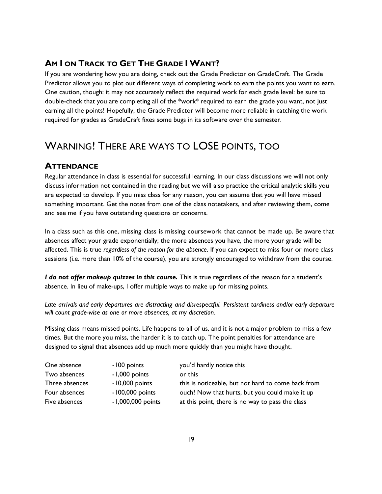#### **AM I ON TRACK TO GET THE GRADE I WANT?**

If you are wondering how you are doing, check out the Grade Predictor on GradeCraft. The Grade Predictor allows you to plot out different ways of completing work to earn the points you want to earn. One caution, though: it may not accurately reflect the required work for each grade level: be sure to double-check that you are completing all of the \*work\* required to earn the grade you want, not just earning all the points! Hopefully, the Grade Predictor will become more reliable in catching the work required for grades as GradeCraft fixes some bugs in its software over the semester.

### WARNING! THERE ARE WAYS TO LOSE POINTS, TOO

#### **ATTENDANCE**

Regular attendance in class is essential for successful learning. In our class discussions we will not only discuss information not contained in the reading but we will also practice the critical analytic skills you are expected to develop. If you miss class for any reason, you can assume that you will have missed something important. Get the notes from one of the class notetakers, and after reviewing them, come and see me if you have outstanding questions or concerns.

In a class such as this one, missing class is missing coursework that cannot be made up. Be aware that absences affect your grade exponentially; the more absences you have, the more your grade will be affected. This is true *regardless of the reason for the absence*. If you can expect to miss four or more class sessions (i.e. more than 10% of the course), you are strongly encouraged to withdraw from the course.

*I do not offer makeup quizzes in this course.* This is true regardless of the reason for a student's absence. In lieu of make-ups, I offer multiple ways to make up for missing points.

*Late arrivals and early departures are distracting and disrespectful. Persistent tardiness and/or early departure will count grade-wise as one or more absences, at my discretion.*

Missing class means missed points. Life happens to all of us, and it is not a major problem to miss a few times. But the more you miss, the harder it is to catch up. The point penalties for attendance are designed to signal that absences add up much more quickly than you might have thought.

| One absence    | -100 points       | you'd hardly notice this                           |
|----------------|-------------------|----------------------------------------------------|
| Two absences   | -1,000 points     | or this                                            |
| Three absences | $-10,000$ points  | this is noticeable, but not hard to come back from |
| Four absences  | $-100,000$ points | ouch! Now that hurts, but you could make it up     |
| Five absences  | -1,000,000 points | at this point, there is no way to pass the class   |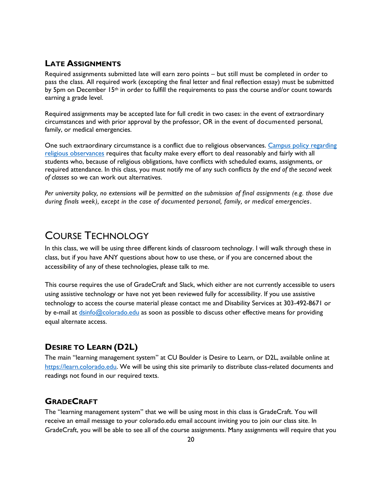#### **LATE ASSIGNMENTS**

Required assignments submitted late will earn zero points – but still must be completed in order to pass the class. All required work (excepting the final letter and final reflection essay) must be submitted by 5pm on December 15<sup>th</sup> in order to fulfill the requirements to pass the course and/or count towards earning a grade level.

Required assignments may be accepted late for full credit in two cases: in the event of extraordinary circumstances and with prior approval by the professor, OR in the event of documented personal, family, or medical emergencies.

One such extraordinary circumstance is a conflict due to religious observances. [Campus policy regarding](http://www.colorado.edu/policies/fac_relig.html)  [religious observances](http://www.colorado.edu/policies/fac_relig.html) requires that faculty make every effort to deal reasonably and fairly with all students who, because of religious obligations, have conflicts with scheduled exams, assignments, or required attendance. In this class, you must notify me of any such conflicts *by the end of the second week of classes* so we can work out alternatives.

*Per university policy, no extensions will be permitted on the submission of final assignments (e.g. those due during finals week), except in the case of documented personal, family, or medical emergencies.* 

### COURSE TECHNOLOGY

In this class, we will be using three different kinds of classroom technology. I will walk through these in class, but if you have ANY questions about how to use these, or if you are concerned about the accessibility of any of these technologies, please talk to me.

This course requires the use of GradeCraft and Slack, which either are not currently accessible to users using assistive technology or have not yet been reviewed fully for accessibility. If you use assistive technology to access the course material please contact me and Disability Services at 303-492-8671 or by e-mail at [dsinfo@colorado.edu](mailto:dsinfo@colorado.edu) as soon as possible to discuss other effective means for providing equal alternate access.

#### **DESIRE TO LEARN (D2L)**

The main "learning management system" at CU Boulder is Desire to Learn, or D2L, available online at [https://learn.colorado.edu.](https://learn.colorado.edu/) We will be using this site primarily to distribute class-related documents and readings not found in our required texts.

#### **GRADECRAFT**

The "learning management system" that we will be using most in this class is GradeCraft. You will receive an email message to your colorado.edu email account inviting you to join our class site. In GradeCraft, you will be able to see all of the course assignments. Many assignments will require that you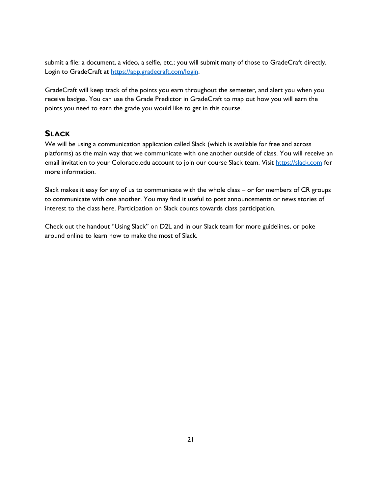submit a file: a document, a video, a selfie, etc.; you will submit many of those to GradeCraft directly. Login to GradeCraft at [https://app.gradecraft.com/login.](https://app.gradecraft.com/login)

GradeCraft will keep track of the points you earn throughout the semester, and alert you when you receive badges. You can use the Grade Predictor in GradeCraft to map out how you will earn the points you need to earn the grade you would like to get in this course.

#### **SLACK**

We will be using a communication application called Slack (which is available for free and across platforms) as the main way that we communicate with one another outside of class. You will receive an email invitation to your Colorado.edu account to join our course Slack team. Visit [https://slack.com](https://slack.com/) for more information.

Slack makes it easy for any of us to communicate with the whole class – or for members of CR groups to communicate with one another. You may find it useful to post announcements or news stories of interest to the class here. Participation on Slack counts towards class participation.

Check out the handout "Using Slack" on D2L and in our Slack team for more guidelines, or poke around online to learn how to make the most of Slack.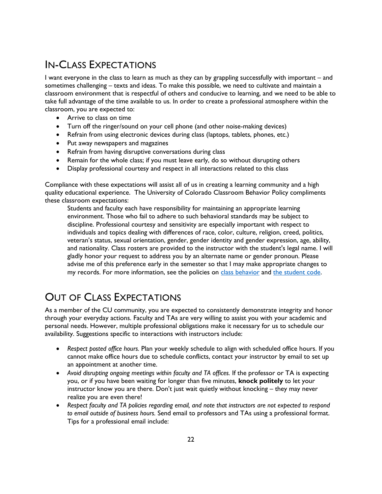## IN-CLASS EXPECTATIONS

I want everyone in the class to learn as much as they can by grappling successfully with important – and sometimes challenging – texts and ideas. To make this possible, we need to cultivate and maintain a classroom environment that is respectful of others and conducive to learning, and we need to be able to take full advantage of the time available to us. In order to create a professional atmosphere within the classroom, you are expected to:

- Arrive to class on time
- Turn off the ringer/sound on your cell phone (and other noise-making devices)
- Refrain from using electronic devices during class (laptops, tablets, phones, etc.)
- Put away newspapers and magazines
- Refrain from having disruptive conversations during class
- Remain for the whole class; if you must leave early, do so without disrupting others
- Display professional courtesy and respect in all interactions related to this class

Compliance with these expectations will assist all of us in creating a learning community and a high quality educational experience. The University of Colorado Classroom Behavior Policy compliments these classroom expectations:

Students and faculty each have responsibility for maintaining an appropriate learning environment. Those who fail to adhere to such behavioral standards may be subject to discipline. Professional courtesy and sensitivity are especially important with respect to individuals and topics dealing with differences of race, color, culture, religion, creed, politics, veteran's status, sexual orientation, gender, gender identity and gender expression, age, ability, and nationality. Class rosters are provided to the instructor with the student's legal name. I will gladly honor your request to address you by an alternate name or gender pronoun. Please advise me of this preference early in the semester so that I may make appropriate changes to my records. For more information, see the policies on [class behavior](http://www.colorado.edu/policies/student-classroom-and-course-related-behavior) and [the student code.](http://www.colorado.edu/studentaffairs/judicialaffairs/code.html#student_code)

### OUT OF CLASS EXPECTATIONS

As a member of the CU community, you are expected to consistently demonstrate integrity and honor through your everyday actions. Faculty and TAs are very willing to assist you with your academic and personal needs. However, multiple professional obligations make it necessary for us to schedule our availability. Suggestions specific to interactions with instructors include:

- *Respect posted office hours.* Plan your weekly schedule to align with scheduled office hours. If you cannot make office hours due to schedule conflicts, contact your instructor by email to set up an appointment at another time.
- *Avoid disrupting ongoing meetings within faculty and TA offices.* If the professor or TA is expecting you, or if you have been waiting for longer than five minutes, **knock politely** to let your instructor know you are there. Don't just wait quietly without knocking – they may never realize you are even there!
- *Respect faculty and TA policies regarding email, and note that instructors are not expected to respond to email outside of business hours.* Send email to professors and TAs using a professional format. Tips for a professional email include: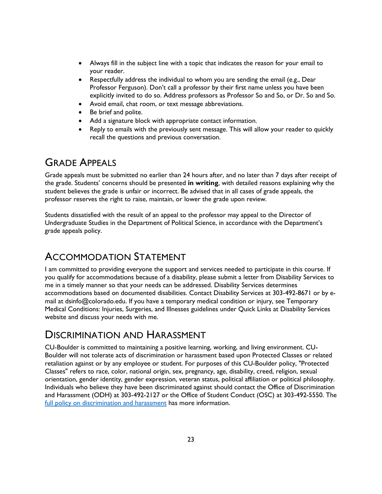- Always fill in the subject line with a topic that indicates the reason for your email to your reader.
- Respectfully address the individual to whom you are sending the email (e.g., Dear Professor Ferguson). Don't call a professor by their first name unless you have been explicitly invited to do so. Address professors as Professor So and So, or Dr. So and So.
- Avoid email, chat room, or text message abbreviations.
- Be brief and polite.
- Add a signature block with appropriate contact information.
- Reply to emails with the previously sent message. This will allow your reader to quickly recall the questions and previous conversation.

### GRADE APPEALS

Grade appeals must be submitted no earlier than 24 hours after, and no later than 7 days after receipt of the grade. Students' concerns should be presented **in writing**, with detailed reasons explaining why the student believes the grade is unfair or incorrect. Be advised that in all cases of grade appeals, the professor reserves the right to raise, maintain, or lower the grade upon review.

Students dissatisfied with the result of an appeal to the professor may appeal to the Director of Undergraduate Studies in the Department of Political Science, in accordance with the Department's grade appeals policy.

### ACCOMMODATION STATEMENT

I am committed to providing everyone the support and services needed to participate in this course. If you qualify for accommodations because of a disability, please submit a letter from Disability Services to me in a timely manner so that your needs can be addressed. Disability Services determines accommodations based on documented disabilities. Contact Disability Services at 303-492-8671 or by email at dsinfo@colorado.edu. If you have a temporary medical condition or injury, see Temporary Medical Conditions: Injuries, Surgeries, and Illnesses guidelines under Quick Links at Disability Services website and discuss your needs with me.

### DISCRIMINATION AND HARASSMENT

CU-Boulder is committed to maintaining a positive learning, working, and living environment. CU-Boulder will not tolerate acts of discrimination or harassment based upon Protected Classes or related retaliation against or by any employee or student. For purposes of this CU-Boulder policy, "Protected Classes" refers to race, color, national origin, sex, pregnancy, age, disability, creed, religion, sexual orientation, gender identity, gender expression, veteran status, political affiliation or political philosophy. Individuals who believe they have been discriminated against should contact the Office of Discrimination and Harassment (ODH) at 303-492-2127 or the Office of Student Conduct (OSC) at 303-492-5550. The [full policy on discrimination and harassment](http://www.colorado.edu/policies/discrimination-and-harassment-policy-and-procedures) has more information.